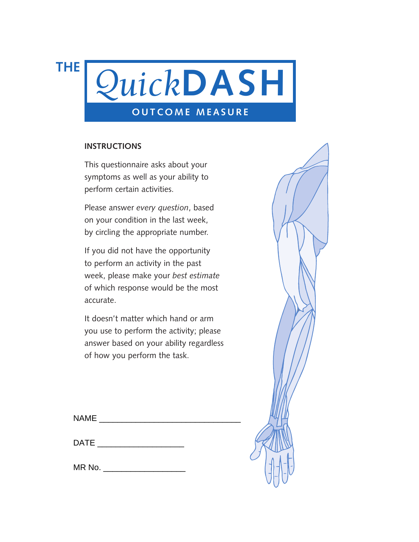**THE**



#### **INSTRUCTIONS**

This questionnaire asks about your symptoms as well as your ability to perform certain activities.

Please answer *every question*, based on your condition in the last week, by circling the appropriate number.

If you did not have the opportunity to perform an activity in the past week, please make your *best estimate* of which response would be the most accurate.

It doesn't matter which hand or arm you use to perform the activity; please answer based on your ability regardless of how you perform the task.

NAME  $\Box$ 

| DATE |  |
|------|--|
|      |  |

 $MR$  No.  $\blacksquare$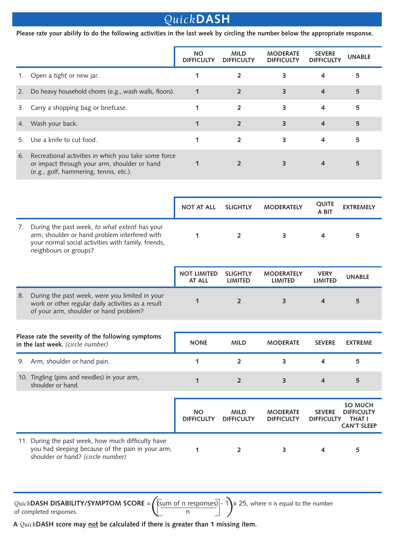# *Quick***DASH**

**Please rate your ability to do the following activities in the last week by circling the number below the appropriate response.**

|    |                                                                                                                                                                                | <b>NO</b><br><b>DIFFICULTY</b> | <b>MILD</b><br><b>DIFFICULTY</b>  | <b>MODERATE</b><br><b>DIFFICULTY</b> | <b>SEVERE</b><br><b>DIFFICULTY</b> | <b>UNABLE</b>                                                              |
|----|--------------------------------------------------------------------------------------------------------------------------------------------------------------------------------|--------------------------------|-----------------------------------|--------------------------------------|------------------------------------|----------------------------------------------------------------------------|
| 1. | Open a tight or new jar.                                                                                                                                                       | 1                              | $\overline{2}$                    | 3                                    | 4                                  | 5                                                                          |
| 2. | Do heavy household chores (e.g., wash walls, floors).                                                                                                                          | $\mathbf{1}$                   | $\overline{2}$                    | 3                                    | $\overline{a}$                     | 5                                                                          |
| 3. | Carry a shopping bag or briefcase.                                                                                                                                             | 1                              | 2                                 | 3                                    | 4                                  | 5                                                                          |
| 4. | Wash your back.                                                                                                                                                                | 1                              | $\overline{2}$                    | 3                                    | 4                                  | 5                                                                          |
| 5. | Use a knife to cut food.                                                                                                                                                       | 1                              | $\overline{2}$                    | 3                                    | 4                                  | 5                                                                          |
| 6. | Recreational activities in which you take some force<br>or impact through your arm, shoulder or hand<br>(e.g., golf, hammering, tennis, etc.).                                 | $\mathbf 1$                    | $\overline{2}$                    | 3                                    | $\overline{a}$                     | 5                                                                          |
|    |                                                                                                                                                                                |                                |                                   |                                      |                                    |                                                                            |
|    |                                                                                                                                                                                | <b>NOT AT ALL</b>              | <b>SLIGHTLY</b>                   | <b>MODERATELY</b>                    | <b>QUITE</b><br>A BIT              | <b>EXTREMELY</b>                                                           |
| 7. | During the past week, to what extent has your<br>arm, shoulder or hand problem interfered with<br>your normal social activities with family, friends,<br>neighbours or groups? | 1                              | $\overline{2}$                    | $\overline{3}$                       | 4                                  | 5                                                                          |
|    |                                                                                                                                                                                | <b>NOT LIMITED</b><br>AT ALL   | <b>SLIGHTLY</b><br><b>LIMITED</b> | <b>MODERATELY</b><br><b>LIMITED</b>  | <b>VERY</b><br><b>LIMITED</b>      | <b>UNABLE</b>                                                              |
| 8. | During the past week, were you limited in your<br>work or other regular daily activities as a result<br>of your arm, shoulder or hand problem?                                 | $\mathbf 1$                    | $\overline{2}$                    | 3                                    | $\overline{a}$                     | 5                                                                          |
|    |                                                                                                                                                                                |                                |                                   |                                      |                                    |                                                                            |
|    | Please rate the severity of the following symptoms<br>in the last week. (circle number)                                                                                        | <b>NONE</b>                    | <b>MILD</b>                       | <b>MODERATE</b>                      | <b>SEVERE</b>                      | <b>EXTREME</b>                                                             |
| 9. | Arm, shoulder or hand pain.                                                                                                                                                    | 1                              | $\overline{2}$                    | 3                                    | 4                                  | 5                                                                          |
|    | 10. Tingling (pins and needles) in your arm,<br>shoulder or hand.                                                                                                              | 1                              | $\overline{2}$                    | 3                                    | 4                                  | 5                                                                          |
|    |                                                                                                                                                                                | <b>NO</b><br><b>DIFFICULTY</b> | <b>MILD</b><br><b>DIFFICULTY</b>  | <b>MODERATE</b><br><b>DIFFICULTY</b> | <b>SEVERE</b><br><b>DIFFICULTY</b> | <b>SO MUCH</b><br><b>DIFFICULTY</b><br><b>THAT I</b><br><b>CAN'T SLEEP</b> |
|    | 11. During the past week, how much difficulty have<br>you had sleeping because of the pain in your arm,<br>shoulder or hand? (circle number)                                   | 1                              | $\overline{2}$                    | 3                                    | 4                                  | 5                                                                          |

**A** *Quick***DASH score may not be calculated if there is greater than 1 missing item.**